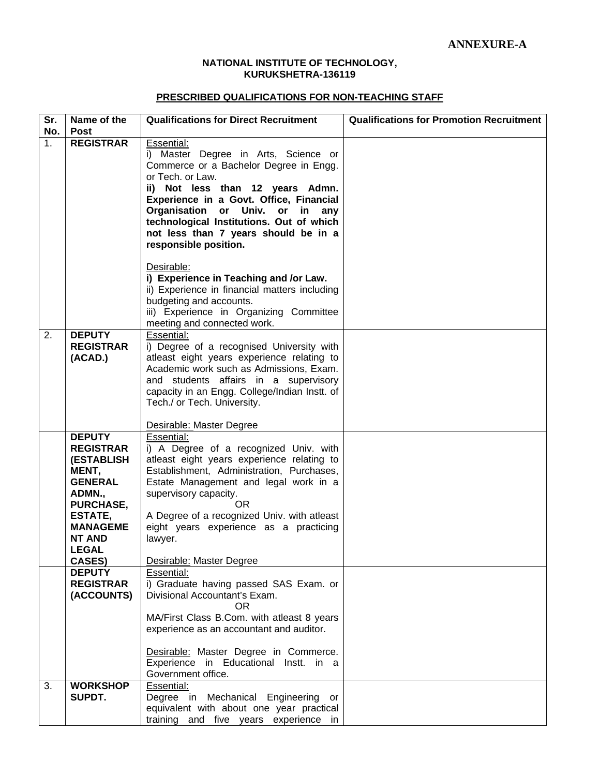#### **NATIONAL INSTITUTE OF TECHNOLOGY, KURUKSHETRA-136119**

#### **PRESCRIBED QUALIFICATIONS FOR NON-TEACHING STAFF**

| Sr.                   | Name of the                                                                                                                       | <b>Qualifications for Direct Recruitment</b>                                                                                                                                                                                                                                                                                            | <b>Qualifications for Promotion Recruitment</b> |
|-----------------------|-----------------------------------------------------------------------------------------------------------------------------------|-----------------------------------------------------------------------------------------------------------------------------------------------------------------------------------------------------------------------------------------------------------------------------------------------------------------------------------------|-------------------------------------------------|
| No.<br>1 <sub>1</sub> | <b>Post</b><br><b>REGISTRAR</b>                                                                                                   | Essential:                                                                                                                                                                                                                                                                                                                              |                                                 |
|                       |                                                                                                                                   | i) Master Degree in Arts, Science or<br>Commerce or a Bachelor Degree in Engg.<br>or Tech. or Law.<br>ii) Not less than 12 years Admn.<br>Experience in a Govt. Office, Financial<br>Organisation or Univ. or<br>in<br>any<br>technological Institutions. Out of which<br>not less than 7 years should be in a<br>responsible position. |                                                 |
|                       |                                                                                                                                   | Desirable:<br>i) Experience in Teaching and /or Law.<br>ii) Experience in financial matters including<br>budgeting and accounts.<br>iii) Experience in Organizing Committee<br>meeting and connected work.                                                                                                                              |                                                 |
| 2.                    | <b>DEPUTY</b><br><b>REGISTRAR</b><br>(ACAD.)                                                                                      | Essential:<br>i) Degree of a recognised University with<br>atleast eight years experience relating to<br>Academic work such as Admissions, Exam.<br>and students affairs in a supervisory<br>capacity in an Engg. College/Indian Instt. of<br>Tech./ or Tech. University.                                                               |                                                 |
|                       |                                                                                                                                   | Desirable: Master Degree                                                                                                                                                                                                                                                                                                                |                                                 |
|                       | <b>DEPUTY</b><br><b>REGISTRAR</b><br><b>(ESTABLISH</b><br>MENT,<br><b>GENERAL</b><br>ADMN.,<br><b>PURCHASE,</b><br><b>ESTATE,</b> | Essential:<br>i) A Degree of a recognized Univ. with<br>atleast eight years experience relating to<br>Establishment, Administration, Purchases,<br>Estate Management and legal work in a<br>supervisory capacity.<br>OR.<br>A Degree of a recognized Univ. with atleast                                                                 |                                                 |
|                       | <b>MANAGEME</b><br><b>NT AND</b><br><b>LEGAL</b>                                                                                  | eight years experience as a practicing<br>lawyer.                                                                                                                                                                                                                                                                                       |                                                 |
|                       | <b>CASES)</b>                                                                                                                     | Desirable: Master Degree                                                                                                                                                                                                                                                                                                                |                                                 |
|                       | <b>DEPUTY</b><br><b>REGISTRAR</b><br>(ACCOUNTS)                                                                                   | Essential:<br>i) Graduate having passed SAS Exam. or<br>Divisional Accountant's Exam.<br>OR.<br>MA/First Class B.Com. with atleast 8 years<br>experience as an accountant and auditor.                                                                                                                                                  |                                                 |
|                       |                                                                                                                                   | Desirable: Master Degree in Commerce.<br>Experience in Educational Instt. in a<br>Government office.                                                                                                                                                                                                                                    |                                                 |
| 3.                    | <b>WORKSHOP</b><br>SUPDT.                                                                                                         | Essential:<br>Degree in Mechanical Engineering<br>or<br>equivalent with about one year practical<br>training and five years experience in                                                                                                                                                                                               |                                                 |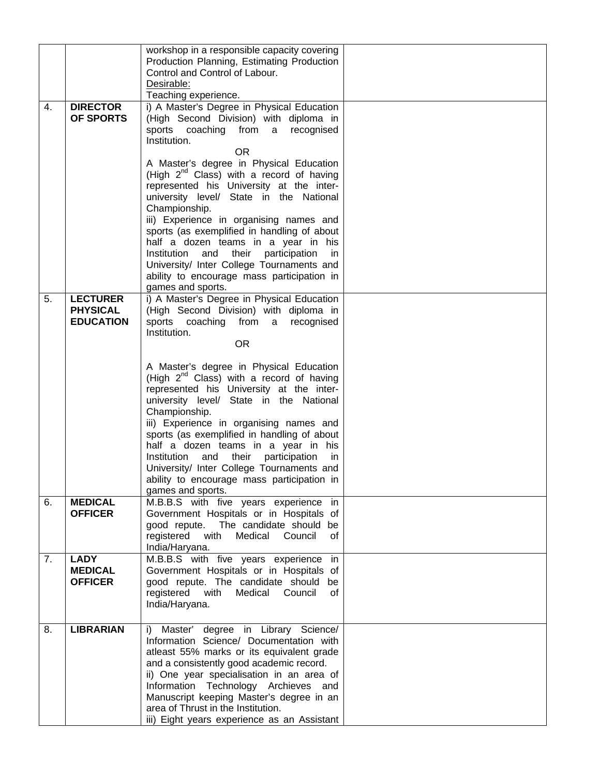|    |                                     | workshop in a responsible capacity covering<br>Production Planning, Estimating Production        |  |
|----|-------------------------------------|--------------------------------------------------------------------------------------------------|--|
|    |                                     | Control and Control of Labour.                                                                   |  |
|    |                                     | Desirable:<br>Teaching experience.                                                               |  |
| 4. | <b>DIRECTOR</b><br><b>OF SPORTS</b> | i) A Master's Degree in Physical Education<br>(High Second Division) with diploma in             |  |
|    |                                     | sports coaching from a recognised<br>Institution.                                                |  |
|    |                                     | <b>OR</b>                                                                                        |  |
|    |                                     | A Master's degree in Physical Education                                                          |  |
|    |                                     | (High 2 <sup>nd</sup> Class) with a record of having<br>represented his University at the inter- |  |
|    |                                     | university level/ State in the National                                                          |  |
|    |                                     | Championship.<br>iii) Experience in organising names and                                         |  |
|    |                                     | sports (as exemplified in handling of about                                                      |  |
|    |                                     | half a dozen teams in a year in his                                                              |  |
|    |                                     | Institution and their participation<br>in.<br>University/ Inter College Tournaments and          |  |
|    |                                     | ability to encourage mass participation in                                                       |  |
| 5. | <b>LECTURER</b>                     | games and sports.<br>i) A Master's Degree in Physical Education                                  |  |
|    | <b>PHYSICAL</b>                     | (High Second Division) with diploma in                                                           |  |
|    | <b>EDUCATION</b>                    | sports coaching from a<br>recognised                                                             |  |
|    |                                     | Institution.<br><b>OR</b>                                                                        |  |
|    |                                     |                                                                                                  |  |
|    |                                     | A Master's degree in Physical Education<br>(High 2 <sup>nd</sup> Class) with a record of having  |  |
|    |                                     | represented his University at the inter-                                                         |  |
|    |                                     | university level/ State in the National<br>Championship.                                         |  |
|    |                                     | iii) Experience in organising names and                                                          |  |
|    |                                     | sports (as exemplified in handling of about                                                      |  |
|    |                                     | half a dozen teams in a year in his<br>Institution<br>and<br>their<br>participation<br>in        |  |
|    |                                     | University/ Inter College Tournaments and                                                        |  |
|    |                                     | ability to encourage mass participation in                                                       |  |
| 6. | <b>MEDICAL</b>                      | games and sports.<br>M.B.B.S with five years experience in                                       |  |
|    | <b>OFFICER</b>                      | Government Hospitals or in Hospitals of                                                          |  |
|    |                                     | good repute. The candidate should be<br>registered with<br>Medical Council<br>0f                 |  |
|    |                                     | India/Haryana.                                                                                   |  |
| 7. | <b>LADY</b><br><b>MEDICAL</b>       | M.B.B.S with five years experience in<br>Government Hospitals or in Hospitals of                 |  |
|    | <b>OFFICER</b>                      | good repute. The candidate should be                                                             |  |
|    |                                     | registered with<br>Medical<br>Council<br>of                                                      |  |
|    |                                     | India/Haryana.                                                                                   |  |
| 8. | <b>LIBRARIAN</b>                    | i) Master' degree in Library Science/                                                            |  |
|    |                                     | Information Science/ Documentation with                                                          |  |
|    |                                     | atleast 55% marks or its equivalent grade<br>and a consistently good academic record.            |  |
|    |                                     | ii) One year specialisation in an area of                                                        |  |
|    |                                     | Information Technology Archieves and<br>Manuscript keeping Master's degree in an                 |  |
|    |                                     | area of Thrust in the Institution.                                                               |  |
|    |                                     | iii) Eight years experience as an Assistant                                                      |  |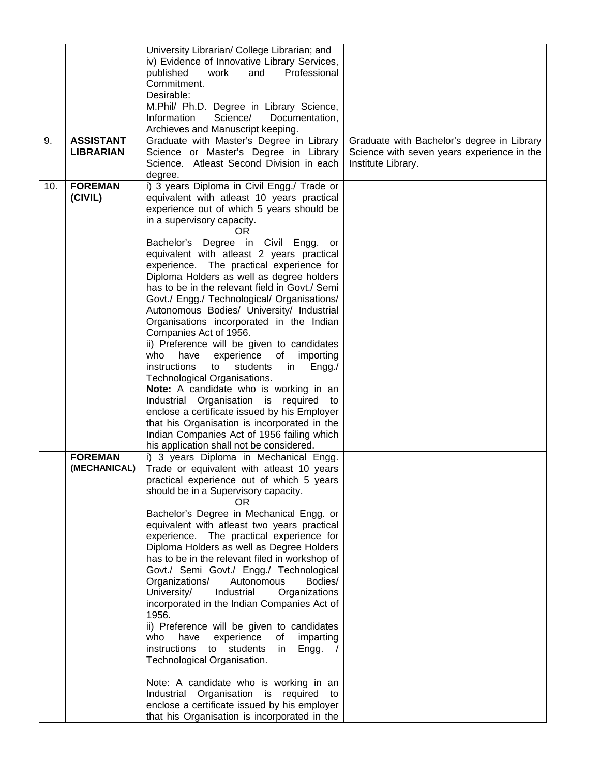|     |                  | University Librarian/ College Librarian; and                     |                                            |
|-----|------------------|------------------------------------------------------------------|--------------------------------------------|
|     |                  | iv) Evidence of Innovative Library Services,                     |                                            |
|     |                  | published<br>work<br>and<br>Professional                         |                                            |
|     |                  | Commitment.                                                      |                                            |
|     |                  | Desirable:                                                       |                                            |
|     |                  | M.Phil/ Ph.D. Degree in Library Science,                         |                                            |
|     |                  | Information<br>Science/<br>Documentation,                        |                                            |
|     |                  | Archieves and Manuscript keeping.                                |                                            |
| 9.  | <b>ASSISTANT</b> | Graduate with Master's Degree in Library                         |                                            |
|     | <b>LIBRARIAN</b> |                                                                  | Graduate with Bachelor's degree in Library |
|     |                  | Science or Master's Degree in Library                            | Science with seven years experience in the |
|     |                  | Science. Atleast Second Division in each                         | Institute Library.                         |
|     |                  | degree.                                                          |                                            |
| 10. | <b>FOREMAN</b>   | i) 3 years Diploma in Civil Engg./ Trade or                      |                                            |
|     | (CIVIL)          | equivalent with atleast 10 years practical                       |                                            |
|     |                  | experience out of which 5 years should be                        |                                            |
|     |                  | in a supervisory capacity.                                       |                                            |
|     |                  | OR.                                                              |                                            |
|     |                  | Bachelor's Degree in Civil Engg. or                              |                                            |
|     |                  | equivalent with atleast 2 years practical                        |                                            |
|     |                  | experience. The practical experience for                         |                                            |
|     |                  | Diploma Holders as well as degree holders                        |                                            |
|     |                  | has to be in the relevant field in Govt./ Semi                   |                                            |
|     |                  | Govt./ Engg./ Technological/ Organisations/                      |                                            |
|     |                  | Autonomous Bodies/ University/ Industrial                        |                                            |
|     |                  | Organisations incorporated in the Indian                         |                                            |
|     |                  | Companies Act of 1956.                                           |                                            |
|     |                  | ii) Preference will be given to candidates                       |                                            |
|     |                  | who<br>experience of importing<br>have                           |                                            |
|     |                  | instructions<br>to<br>students<br>in<br>Engg.                    |                                            |
|     |                  | Technological Organisations.                                     |                                            |
|     |                  | Note: A candidate who is working in an                           |                                            |
|     |                  | Industrial Organisation is required to                           |                                            |
|     |                  | enclose a certificate issued by his Employer                     |                                            |
|     |                  | that his Organisation is incorporated in the                     |                                            |
|     |                  | Indian Companies Act of 1956 failing which                       |                                            |
|     |                  | his application shall not be considered.                         |                                            |
|     | <b>FOREMAN</b>   | i) 3 years Diploma in Mechanical Engg.                           |                                            |
|     | (MECHANICAL)     | Trade or equivalent with atleast 10 years                        |                                            |
|     |                  | practical experience out of which 5 years                        |                                            |
|     |                  | should be in a Supervisory capacity.                             |                                            |
|     |                  | OR.                                                              |                                            |
|     |                  | Bachelor's Degree in Mechanical Engg. or                         |                                            |
|     |                  | equivalent with atleast two years practical                      |                                            |
|     |                  | experience. The practical experience for                         |                                            |
|     |                  | Diploma Holders as well as Degree Holders                        |                                            |
|     |                  | has to be in the relevant filed in workshop of                   |                                            |
|     |                  |                                                                  |                                            |
|     |                  | Govt./ Semi Govt./ Engg./ Technological<br>Autonomous<br>Bodies/ |                                            |
|     |                  | Organizations/<br>University/<br>Industrial                      |                                            |
|     |                  | Organizations                                                    |                                            |
|     |                  | incorporated in the Indian Companies Act of                      |                                            |
|     |                  | 1956.                                                            |                                            |
|     |                  | ii) Preference will be given to candidates                       |                                            |
|     |                  | who<br>have<br>experience<br>of<br>imparting                     |                                            |
|     |                  | instructions to students<br>Engg.<br>in                          |                                            |
|     |                  | Technological Organisation.                                      |                                            |
|     |                  |                                                                  |                                            |
|     |                  | Note: A candidate who is working in an                           |                                            |
|     |                  | Industrial Organisation is required to                           |                                            |
|     |                  | enclose a certificate issued by his employer                     |                                            |
|     |                  | that his Organisation is incorporated in the                     |                                            |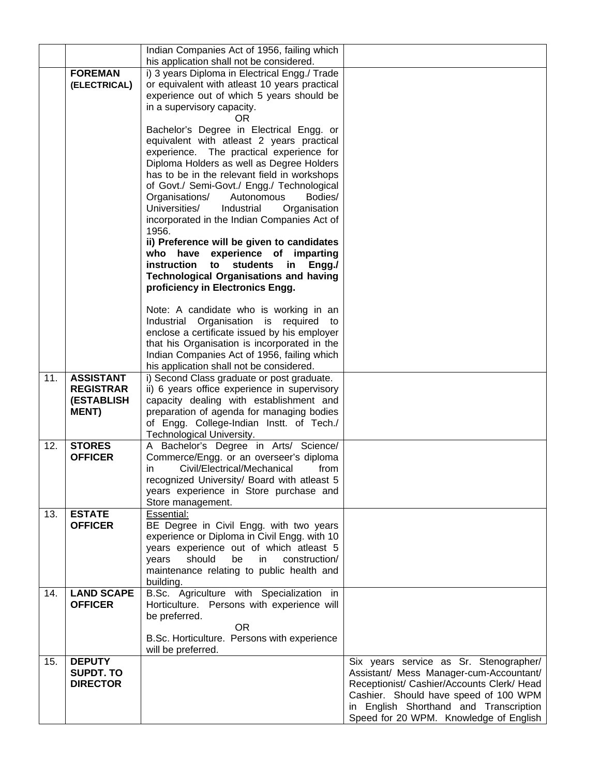|     |                                       | Indian Companies Act of 1956, failing which                                                            |                                            |
|-----|---------------------------------------|--------------------------------------------------------------------------------------------------------|--------------------------------------------|
|     |                                       | his application shall not be considered.                                                               |                                            |
|     | <b>FOREMAN</b>                        | i) 3 years Diploma in Electrical Engg./ Trade                                                          |                                            |
|     | (ELECTRICAL)                          | or equivalent with atleast 10 years practical                                                          |                                            |
|     |                                       | experience out of which 5 years should be                                                              |                                            |
|     |                                       | in a supervisory capacity.<br>OR.                                                                      |                                            |
|     |                                       | Bachelor's Degree in Electrical Engg. or                                                               |                                            |
|     |                                       | equivalent with atleast 2 years practical                                                              |                                            |
|     |                                       | experience. The practical experience for                                                               |                                            |
|     |                                       | Diploma Holders as well as Degree Holders                                                              |                                            |
|     |                                       | has to be in the relevant field in workshops                                                           |                                            |
|     |                                       | of Govt./ Semi-Govt./ Engg./ Technological                                                             |                                            |
|     |                                       | Bodies/<br>Organisations/<br>Autonomous                                                                |                                            |
|     |                                       | Universities/<br>Industrial<br>Organisation                                                            |                                            |
|     |                                       | incorporated in the Indian Companies Act of                                                            |                                            |
|     |                                       | 1956.                                                                                                  |                                            |
|     |                                       | ii) Preference will be given to candidates                                                             |                                            |
|     |                                       | have experience of imparting<br>who                                                                    |                                            |
|     |                                       | instruction<br><b>students</b><br>to<br>in.<br>Engg./<br><b>Technological Organisations and having</b> |                                            |
|     |                                       | proficiency in Electronics Engg.                                                                       |                                            |
|     |                                       |                                                                                                        |                                            |
|     |                                       | Note: A candidate who is working in an                                                                 |                                            |
|     |                                       | Industrial Organisation is required to                                                                 |                                            |
|     |                                       | enclose a certificate issued by his employer                                                           |                                            |
|     |                                       | that his Organisation is incorporated in the                                                           |                                            |
|     |                                       | Indian Companies Act of 1956, failing which                                                            |                                            |
|     |                                       | his application shall not be considered.                                                               |                                            |
| 11. | <b>ASSISTANT</b>                      | i) Second Class graduate or post graduate.                                                             |                                            |
|     | <b>REGISTRAR</b><br><b>(ESTABLISH</b> | ii) 6 years office experience in supervisory<br>capacity dealing with establishment and                |                                            |
|     | <b>MENT)</b>                          | preparation of agenda for managing bodies                                                              |                                            |
|     |                                       | of Engg. College-Indian Instt. of Tech./                                                               |                                            |
|     |                                       | Technological University.                                                                              |                                            |
| 12. | <b>STORES</b>                         | A Bachelor's Degree in Arts/ Science/                                                                  |                                            |
|     | <b>OFFICER</b>                        | Commerce/Engg. or an overseer's diploma                                                                |                                            |
|     |                                       | Civil/Electrical/Mechanical<br>from<br>in.                                                             |                                            |
|     |                                       | recognized University/ Board with atleast 5                                                            |                                            |
|     |                                       | years experience in Store purchase and                                                                 |                                            |
| 13. |                                       | Store management.<br>Essential:                                                                        |                                            |
|     | <b>ESTATE</b><br><b>OFFICER</b>       | BE Degree in Civil Engg. with two years                                                                |                                            |
|     |                                       | experience or Diploma in Civil Engg. with 10                                                           |                                            |
|     |                                       | years experience out of which atleast 5                                                                |                                            |
|     |                                       | should<br>be<br>construction/<br>years<br>in                                                           |                                            |
|     |                                       | maintenance relating to public health and                                                              |                                            |
|     |                                       | building.                                                                                              |                                            |
| 14. | <b>LAND SCAPE</b>                     | B.Sc. Agriculture with Specialization in                                                               |                                            |
|     | <b>OFFICER</b>                        | Horticulture. Persons with experience will                                                             |                                            |
|     |                                       | be preferred.<br>0R                                                                                    |                                            |
|     |                                       | B.Sc. Horticulture. Persons with experience                                                            |                                            |
|     |                                       | will be preferred.                                                                                     |                                            |
| 15. | <b>DEPUTY</b>                         |                                                                                                        | Six years service as Sr. Stenographer/     |
|     | <b>SUPDT. TO</b>                      |                                                                                                        | Assistant/ Mess Manager-cum-Accountant/    |
|     | <b>DIRECTOR</b>                       |                                                                                                        | Receptionist/ Cashier/Accounts Clerk/ Head |
|     |                                       |                                                                                                        | Cashier. Should have speed of 100 WPM      |
|     |                                       |                                                                                                        | in English Shorthand and Transcription     |
|     |                                       |                                                                                                        | Speed for 20 WPM. Knowledge of English     |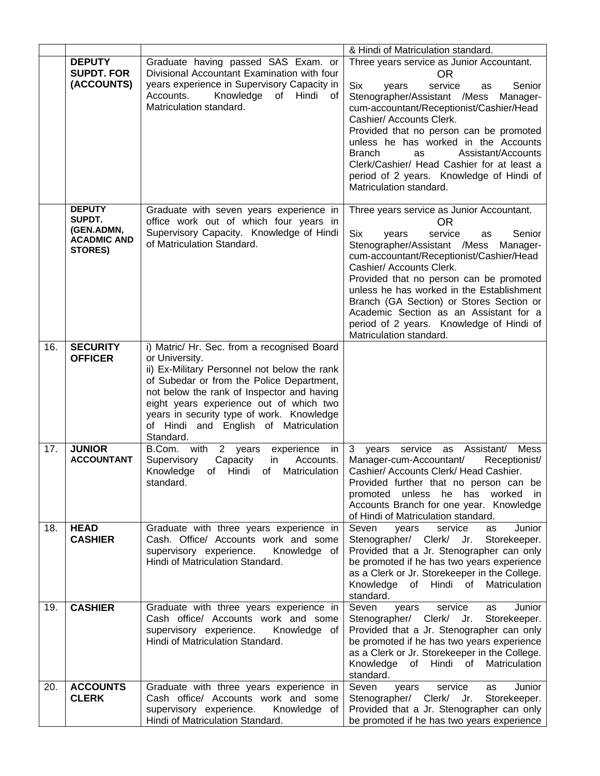|     |                                                                        |                                                                                                                                                                                                                                                                                                                                                        | & Hindi of Matriculation standard.                                                                                                                                                                                                                                                                                                                                                                                                                                                 |
|-----|------------------------------------------------------------------------|--------------------------------------------------------------------------------------------------------------------------------------------------------------------------------------------------------------------------------------------------------------------------------------------------------------------------------------------------------|------------------------------------------------------------------------------------------------------------------------------------------------------------------------------------------------------------------------------------------------------------------------------------------------------------------------------------------------------------------------------------------------------------------------------------------------------------------------------------|
|     | <b>DEPUTY</b><br><b>SUPDT. FOR</b><br>(ACCOUNTS)                       | Graduate having passed SAS Exam. or<br>Divisional Accountant Examination with four<br>years experience in Supervisory Capacity in<br>Accounts.<br>Knowledge of Hindi<br>of<br>Matriculation standard.                                                                                                                                                  | Three years service as Junior Accountant.<br>OR.<br><b>Six</b><br>service<br>Senior<br>years<br>as<br>Stenographer/Assistant /Mess<br>Manager-<br>cum-accountant/Receptionist/Cashier/Head<br>Cashier/ Accounts Clerk.<br>Provided that no person can be promoted<br>unless he has worked in the Accounts<br><b>Branch</b><br>Assistant/Accounts<br><b>as</b><br>Clerk/Cashier/ Head Cashier for at least a<br>period of 2 years. Knowledge of Hindi of<br>Matriculation standard. |
|     | <b>DEPUTY</b><br>SUPDT.<br>(GEN.ADMN,<br><b>ACADMIC AND</b><br>STORES) | Graduate with seven years experience in<br>office work out of which four years in<br>Supervisory Capacity. Knowledge of Hindi<br>of Matriculation Standard.                                                                                                                                                                                            | Three years service as Junior Accountant.<br>0R<br>Six<br>service<br>Senior<br>years<br>as<br>Stenographer/Assistant /Mess<br>Manager-<br>cum-accountant/Receptionist/Cashier/Head<br>Cashier/ Accounts Clerk.<br>Provided that no person can be promoted<br>unless he has worked in the Establishment<br>Branch (GA Section) or Stores Section or<br>Academic Section as an Assistant for a<br>period of 2 years. Knowledge of Hindi of<br>Matriculation standard.                |
| 16. | <b>SECURITY</b><br><b>OFFICER</b>                                      | i) Matric/ Hr. Sec. from a recognised Board<br>or University.<br>ii) Ex-Military Personnel not below the rank<br>of Subedar or from the Police Department,<br>not below the rank of Inspector and having<br>eight years experience out of which two<br>years in security type of work. Knowledge<br>of Hindi and English of Matriculation<br>Standard. |                                                                                                                                                                                                                                                                                                                                                                                                                                                                                    |
| 17. | <b>JUNIOR</b><br><b>ACCOUNTANT</b>                                     | B.Com. with<br>2 years<br>experience<br>in<br>Accounts.<br>Supervisory<br>Capacity<br>in<br>Knowledge<br>of Hindi<br>Matriculation<br>of<br>standard.                                                                                                                                                                                                  | 3<br>years service as Assistant/<br>Mess<br>Manager-cum-Accountant/<br>Receptionist/<br>Cashier/ Accounts Clerk/ Head Cashier.<br>Provided further that no person can be<br>promoted unless he has worked in<br>Accounts Branch for one year. Knowledge<br>of Hindi of Matriculation standard.                                                                                                                                                                                     |
| 18. | <b>HEAD</b><br><b>CASHIER</b>                                          | Graduate with three years experience in<br>Cash. Office/ Accounts work and some<br>supervisory experience.<br>Knowledge of<br>Hindi of Matriculation Standard.                                                                                                                                                                                         | Seven<br>service<br>Junior<br>years<br>as<br>Stenographer/ Clerk/ Jr.<br>Storekeeper.<br>Provided that a Jr. Stenographer can only<br>be promoted if he has two years experience<br>as a Clerk or Jr. Storekeeper in the College.<br>Knowledge of Hindi of Matriculation<br>standard.                                                                                                                                                                                              |
| 19. | <b>CASHIER</b>                                                         | Graduate with three years experience in<br>Cash office/ Accounts work and some<br>supervisory experience.<br>Knowledge of<br>Hindi of Matriculation Standard.                                                                                                                                                                                          | Seven<br>Junior<br>service<br>years<br>as<br>Stenographer/ Clerk/ Jr.<br>Storekeeper.<br>Provided that a Jr. Stenographer can only<br>be promoted if he has two years experience<br>as a Clerk or Jr. Storekeeper in the College.<br>Knowledge of Hindi of<br>Matriculation<br>standard.                                                                                                                                                                                           |
| 20. | <b>ACCOUNTS</b><br><b>CLERK</b>                                        | Graduate with three years experience in<br>Cash office/ Accounts work and some<br>supervisory experience.<br>Knowledge of<br>Hindi of Matriculation Standard.                                                                                                                                                                                          | Seven<br>service<br>Junior<br>years<br>as<br>Stenographer/ Clerk/ Jr.<br>Storekeeper.<br>Provided that a Jr. Stenographer can only<br>be promoted if he has two years experience                                                                                                                                                                                                                                                                                                   |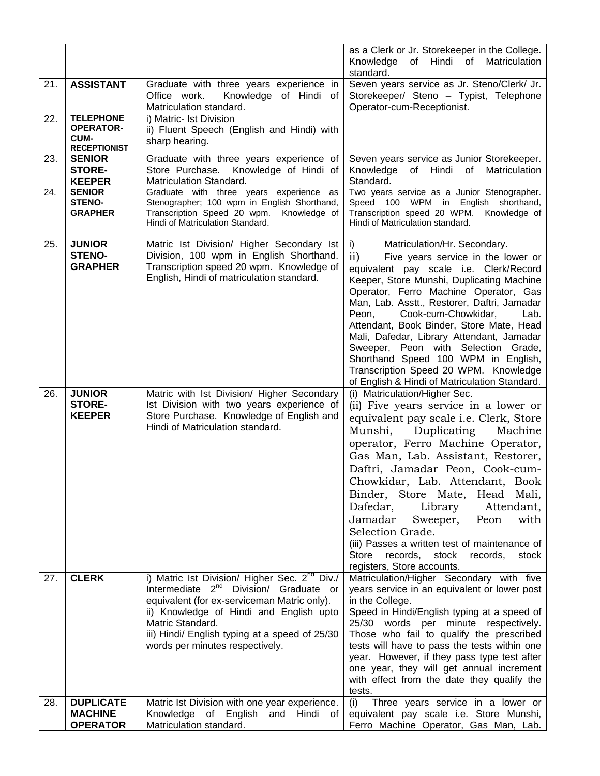|     |                                                                            |                                                                                                                                                                                                                                                                                                                    | as a Clerk or Jr. Storekeeper in the College.<br>Matriculation<br>of Hindi of<br>Knowledge<br>standard.                                                                                                                                                                                                                                                                                                                                                                                                                                                                           |
|-----|----------------------------------------------------------------------------|--------------------------------------------------------------------------------------------------------------------------------------------------------------------------------------------------------------------------------------------------------------------------------------------------------------------|-----------------------------------------------------------------------------------------------------------------------------------------------------------------------------------------------------------------------------------------------------------------------------------------------------------------------------------------------------------------------------------------------------------------------------------------------------------------------------------------------------------------------------------------------------------------------------------|
| 21. | <b>ASSISTANT</b>                                                           | Graduate with three years experience in<br>Office work.<br>Knowledge of Hindi of<br>Matriculation standard.                                                                                                                                                                                                        | Seven years service as Jr. Steno/Clerk/ Jr.<br>Storekeeper/ Steno - Typist, Telephone<br>Operator-cum-Receptionist.                                                                                                                                                                                                                                                                                                                                                                                                                                                               |
| 22. | <b>TELEPHONE</b><br><b>OPERATOR-</b><br><b>CUM-</b><br><b>RECEPTIONIST</b> | i) Matric- Ist Division<br>ii) Fluent Speech (English and Hindi) with<br>sharp hearing.                                                                                                                                                                                                                            |                                                                                                                                                                                                                                                                                                                                                                                                                                                                                                                                                                                   |
| 23. | <b>SENIOR</b><br><b>STORE-</b><br><b>KEEPER</b>                            | Graduate with three years experience of<br>Store Purchase. Knowledge of Hindi of<br>Matriculation Standard.                                                                                                                                                                                                        | Seven years service as Junior Storekeeper.<br>Knowledge of Hindi of<br>Matriculation<br>Standard.                                                                                                                                                                                                                                                                                                                                                                                                                                                                                 |
| 24. | <b>SENIOR</b><br><b>STENO-</b><br><b>GRAPHER</b>                           | Graduate with three years experience<br>as<br>Stenographer; 100 wpm in English Shorthand,<br>Transcription Speed 20 wpm.<br>Knowledge of<br>Hindi of Matriculation Standard.                                                                                                                                       | Two years service as a Junior Stenographer.<br>Speed 100 WPM in English shorthand,<br>Transcription speed 20 WPM. Knowledge of<br>Hindi of Matriculation standard.                                                                                                                                                                                                                                                                                                                                                                                                                |
| 25. | <b>JUNIOR</b><br><b>STENO-</b><br><b>GRAPHER</b>                           | Matric Ist Division/ Higher Secondary Ist<br>Division, 100 wpm in English Shorthand.<br>Transcription speed 20 wpm. Knowledge of<br>English, Hindi of matriculation standard.                                                                                                                                      | Matriculation/Hr. Secondary.<br>i)<br>$\mathbf{ii}$<br>Five years service in the lower or<br>equivalent pay scale i.e. Clerk/Record<br>Keeper, Store Munshi, Duplicating Machine<br>Operator, Ferro Machine Operator, Gas<br>Man, Lab. Asstt., Restorer, Daftri, Jamadar<br>Peon,<br>Cook-cum-Chowkidar,<br>Lab.<br>Attendant, Book Binder, Store Mate, Head<br>Mali, Dafedar, Library Attendant, Jamadar<br>Sweeper, Peon with Selection Grade,<br>Shorthand Speed 100 WPM in English,<br>Transcription Speed 20 WPM. Knowledge<br>of English & Hindi of Matriculation Standard. |
| 26. |                                                                            |                                                                                                                                                                                                                                                                                                                    |                                                                                                                                                                                                                                                                                                                                                                                                                                                                                                                                                                                   |
|     | <b>JUNIOR</b><br><b>STORE-</b><br><b>KEEPER</b>                            | Matric with Ist Division/ Higher Secondary<br>Ist Division with two years experience of<br>Store Purchase. Knowledge of English and<br>Hindi of Matriculation standard.                                                                                                                                            | (i) Matriculation/Higher Sec.<br>(ii) Five years service in a lower or<br>equivalent pay scale <i>i.e.</i> Clerk, Store<br>Duplicating<br>Munshi,<br>Machine<br>operator, Ferro Machine Operator,<br>Gas Man, Lab. Assistant, Restorer,<br>Daftri, Jamadar Peon, Cook-cum-<br>Chowkidar, Lab. Attendant, Book<br>Binder, Store Mate, Head Mali,<br>Dafedar,<br>Library<br>Attendant,<br>Jamadar<br>Peon<br>with<br>Sweeper,<br>Selection Grade.<br>(iii) Passes a written test of maintenance of<br>records,<br>Store<br>stock<br>records,<br>stock<br>registers, Store accounts. |
| 27. | <b>CLERK</b><br><b>DUPLICATE</b>                                           | i) Matric Ist Division/ Higher Sec. 2 <sup>nd</sup> Div./<br>Intermediate 2 <sup>nd</sup> Division/ Graduate or<br>equivalent (for ex-serviceman Matric only).<br>ii) Knowledge of Hindi and English upto<br>Matric Standard.<br>iii) Hindi/ English typing at a speed of 25/30<br>words per minutes respectively. | Matriculation/Higher Secondary with five<br>years service in an equivalent or lower post<br>in the College.<br>Speed in Hindi/English typing at a speed of<br>25/30 words per minute respectively.<br>Those who fail to qualify the prescribed<br>tests will have to pass the tests within one<br>year. However, if they pass type test after<br>one year, they will get annual increment<br>with effect from the date they qualify the<br>tests.                                                                                                                                 |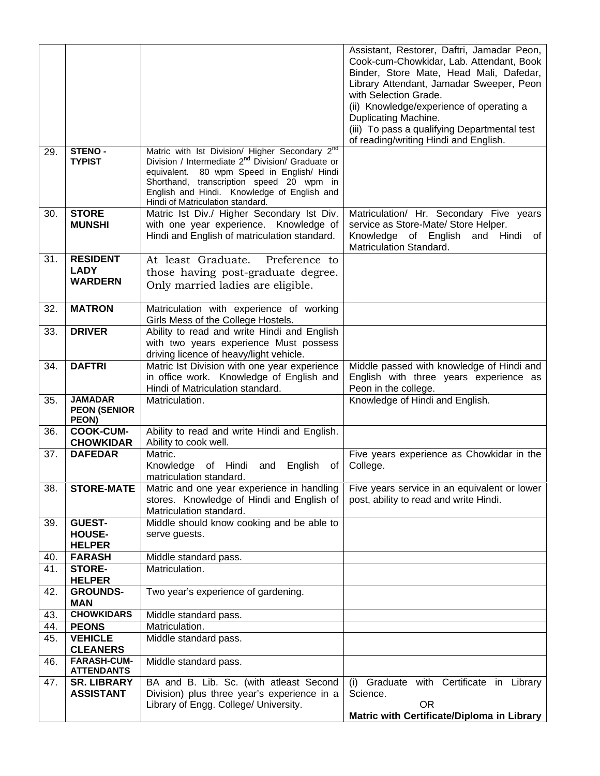|            |                                         |                                                                                                               | Assistant, Restorer, Daftri, Jamadar Peon,<br>Cook-cum-Chowkidar, Lab. Attendant, Book |
|------------|-----------------------------------------|---------------------------------------------------------------------------------------------------------------|----------------------------------------------------------------------------------------|
|            |                                         |                                                                                                               | Binder, Store Mate, Head Mali, Dafedar,                                                |
|            |                                         |                                                                                                               | Library Attendant, Jamadar Sweeper, Peon                                               |
|            |                                         |                                                                                                               | with Selection Grade.                                                                  |
|            |                                         |                                                                                                               | (ii) Knowledge/experience of operating a                                               |
|            |                                         |                                                                                                               | Duplicating Machine.                                                                   |
|            |                                         |                                                                                                               | (iii) To pass a qualifying Departmental test<br>of reading/writing Hindi and English.  |
| 29.        | <b>STENO-</b>                           | Matric with Ist Division/ Higher Secondary $2^{nd}$<br>Division / Intermediate $2^{nd}$ Division/ Graduate or |                                                                                        |
|            | <b>TYPIST</b>                           | equivalent. 80 wpm Speed in English/ Hindi                                                                    |                                                                                        |
|            |                                         | Shorthand, transcription speed 20 wpm in                                                                      |                                                                                        |
|            |                                         | English and Hindi. Knowledge of English and                                                                   |                                                                                        |
|            |                                         | Hindi of Matriculation standard.                                                                              |                                                                                        |
| 30.        | <b>STORE</b><br><b>MUNSHI</b>           | Matric Ist Div./ Higher Secondary Ist Div.<br>with one year experience. Knowledge of                          | Matriculation/ Hr. Secondary Five years<br>service as Store-Mate/ Store Helper.        |
|            |                                         | Hindi and English of matriculation standard.                                                                  | English<br>Knowledge<br>of<br>and<br>Hindi<br>0f                                       |
|            |                                         |                                                                                                               | Matriculation Standard.                                                                |
| 31.        | <b>RESIDENT</b>                         | At least Graduate.<br>Preference to                                                                           |                                                                                        |
|            | <b>LADY</b><br><b>WARDERN</b>           | those having post-graduate degree.                                                                            |                                                                                        |
|            |                                         | Only married ladies are eligible.                                                                             |                                                                                        |
| 32.        | <b>MATRON</b>                           | Matriculation with experience of working                                                                      |                                                                                        |
|            |                                         | Girls Mess of the College Hostels.                                                                            |                                                                                        |
| 33.        | <b>DRIVER</b>                           | Ability to read and write Hindi and English                                                                   |                                                                                        |
|            |                                         | with two years experience Must possess                                                                        |                                                                                        |
| 34.        | <b>DAFTRI</b>                           | driving licence of heavy/light vehicle.<br>Matric Ist Division with one year experience                       | Middle passed with knowledge of Hindi and                                              |
|            |                                         | in office work. Knowledge of English and                                                                      | English with three years experience as                                                 |
|            |                                         | Hindi of Matriculation standard.                                                                              | Peon in the college.                                                                   |
| 35.        | <b>JAMADAR</b>                          | Matriculation.                                                                                                | Knowledge of Hindi and English.                                                        |
|            | <b>PEON (SENIOR</b><br>PEON)            |                                                                                                               |                                                                                        |
| 36.        | <b>COOK-CUM-</b>                        | Ability to read and write Hindi and English.                                                                  |                                                                                        |
| 37.        | <b>CHOWKIDAR</b><br><b>DAFEDAR</b>      | Ability to cook well.<br>Matric.                                                                              | Five years experience as Chowkidar in the                                              |
|            |                                         | Knowledge of Hindi<br>English<br>and<br>οt                                                                    | College.                                                                               |
|            |                                         | matriculation standard.                                                                                       |                                                                                        |
| 38.        | <b>STORE-MATE</b>                       | Matric and one year experience in handling                                                                    | Five years service in an equivalent or lower                                           |
|            |                                         | stores. Knowledge of Hindi and English of                                                                     | post, ability to read and write Hindi.                                                 |
| 39.        | <b>GUEST-</b>                           | Matriculation standard.<br>Middle should know cooking and be able to                                          |                                                                                        |
|            | <b>HOUSE-</b>                           | serve guests.                                                                                                 |                                                                                        |
|            | <b>HELPER</b>                           |                                                                                                               |                                                                                        |
| 40.        | <b>FARASH</b>                           | Middle standard pass.                                                                                         |                                                                                        |
| 41.        | <b>STORE-</b><br><b>HELPER</b>          | Matriculation.                                                                                                |                                                                                        |
| 42.        | <b>GROUNDS-</b>                         | Two year's experience of gardening.                                                                           |                                                                                        |
|            | <b>MAN</b>                              |                                                                                                               |                                                                                        |
| 43.        | <b>CHOWKIDARS</b>                       | Middle standard pass.                                                                                         |                                                                                        |
| 44.<br>45. | <b>PEONS</b><br><b>VEHICLE</b>          | Matriculation.<br>Middle standard pass.                                                                       |                                                                                        |
|            | <b>CLEANERS</b>                         |                                                                                                               |                                                                                        |
| 46.        | <b>FARASH-CUM-</b>                      | Middle standard pass.                                                                                         |                                                                                        |
| 47.        | <b>ATTENDANTS</b><br><b>SR. LIBRARY</b> | BA and B. Lib. Sc. (with atleast Second                                                                       | (i) Graduate with Certificate in Library                                               |
|            | <b>ASSISTANT</b>                        | Division) plus three year's experience in a                                                                   | Science.                                                                               |
|            |                                         | Library of Engg. College/ University.                                                                         | OR.                                                                                    |
|            |                                         |                                                                                                               | Matric with Certificate/Diploma in Library                                             |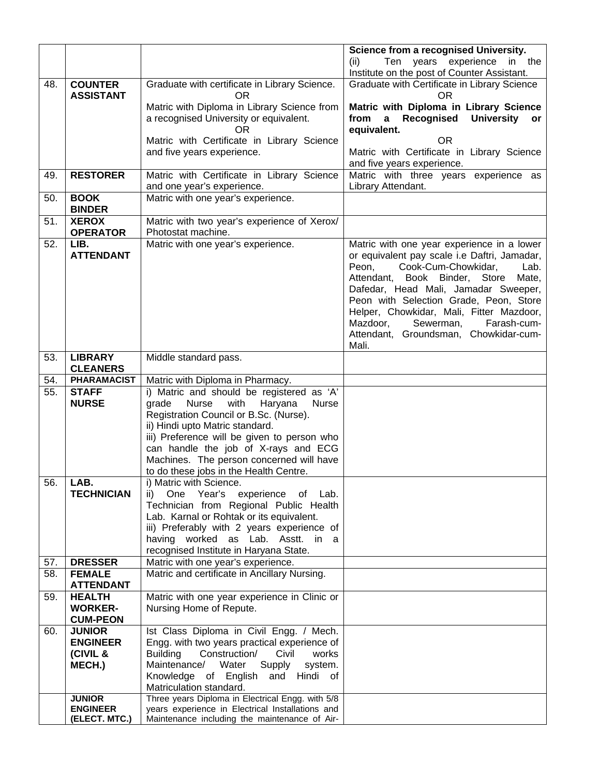|     |                                    |                                                                                                   | Science from a recognised University.<br>Ten years experience<br>in the<br>(ii)      |
|-----|------------------------------------|---------------------------------------------------------------------------------------------------|--------------------------------------------------------------------------------------|
|     |                                    |                                                                                                   | Institute on the post of Counter Assistant.                                          |
| 48. | <b>COUNTER</b><br><b>ASSISTANT</b> | Graduate with certificate in Library Science.<br><b>OR</b>                                        | Graduate with Certificate in Library Science<br>OR                                   |
|     |                                    | Matric with Diploma in Library Science from<br>a recognised University or equivalent.             | Matric with Diploma in Library Science<br>University or<br>from<br>a Recognised      |
|     |                                    | OR.                                                                                               | equivalent.                                                                          |
|     |                                    | Matric with Certificate in Library Science                                                        | <b>OR</b>                                                                            |
|     |                                    | and five years experience.                                                                        | Matric with Certificate in Library Science<br>and five years experience.             |
| 49. | <b>RESTORER</b>                    | Matric with Certificate in Library Science<br>and one year's experience.                          | Matric with three years experience as<br>Library Attendant.                          |
| 50. | <b>BOOK</b><br><b>BINDER</b>       | Matric with one year's experience.                                                                |                                                                                      |
| 51. | <b>XEROX</b><br><b>OPERATOR</b>    | Matric with two year's experience of Xerox/<br>Photostat machine.                                 |                                                                                      |
| 52. | LIB.                               | Matric with one year's experience.                                                                | Matric with one year experience in a lower                                           |
|     | <b>ATTENDANT</b>                   |                                                                                                   | or equivalent pay scale i.e Daftri, Jamadar,<br>Cook-Cum-Chowkidar,<br>Peon,<br>Lab. |
|     |                                    |                                                                                                   | Book Binder, Store<br>Attendant,<br>Mate,                                            |
|     |                                    |                                                                                                   | Dafedar, Head Mali, Jamadar Sweeper,                                                 |
|     |                                    |                                                                                                   | Peon with Selection Grade, Peon, Store<br>Helper, Chowkidar, Mali, Fitter Mazdoor,   |
|     |                                    |                                                                                                   | Mazdoor,<br>Sewerman,<br>Farash-cum-                                                 |
|     |                                    |                                                                                                   | Attendant, Groundsman, Chowkidar-cum-                                                |
|     |                                    |                                                                                                   | Mali.                                                                                |
| 53. | <b>LIBRARY</b><br><b>CLEANERS</b>  | Middle standard pass.                                                                             |                                                                                      |
| 54. | <b>PHARAMACIST</b>                 | Matric with Diploma in Pharmacy.                                                                  |                                                                                      |
| 55. | <b>STAFF</b>                       | i) Matric and should be registered as 'A'                                                         |                                                                                      |
|     | <b>NURSE</b>                       | Nurse<br>with<br>Haryana<br>grade<br><b>Nurse</b>                                                 |                                                                                      |
|     |                                    | Registration Council or B.Sc. (Nurse).<br>ii) Hindi upto Matric standard.                         |                                                                                      |
|     |                                    | iii) Preference will be given to person who                                                       |                                                                                      |
|     |                                    | can handle the job of X-rays and ECG                                                              |                                                                                      |
|     |                                    | Machines. The person concerned will have                                                          |                                                                                      |
|     |                                    | to do these jobs in the Health Centre.                                                            |                                                                                      |
| 56. | LAB.<br><b>TECHNICIAN</b>          | i) Matric with Science.<br>One Year's experience of Lab.<br>ii)                                   |                                                                                      |
|     |                                    | Technician from Regional Public Health                                                            |                                                                                      |
|     |                                    | Lab. Karnal or Rohtak or its equivalent.                                                          |                                                                                      |
|     |                                    | iii) Preferably with 2 years experience of                                                        |                                                                                      |
|     |                                    | having worked as Lab. Asstt. in a<br>recognised Institute in Haryana State.                       |                                                                                      |
| 57. | <b>DRESSER</b>                     | Matric with one year's experience.                                                                |                                                                                      |
| 58. | <b>FEMALE</b>                      | Matric and certificate in Ancillary Nursing.                                                      |                                                                                      |
|     | <b>ATTENDANT</b>                   |                                                                                                   |                                                                                      |
| 59. | <b>HEALTH</b><br><b>WORKER-</b>    | Matric with one year experience in Clinic or                                                      |                                                                                      |
|     | <b>CUM-PEON</b>                    | Nursing Home of Repute.                                                                           |                                                                                      |
| 60. | <b>JUNIOR</b>                      | Ist Class Diploma in Civil Engg. / Mech.                                                          |                                                                                      |
|     | <b>ENGINEER</b>                    | Engg. with two years practical experience of                                                      |                                                                                      |
|     | (CIVIL &                           | <b>Building</b><br>Construction/<br>Civil<br>works                                                |                                                                                      |
|     | MECH.)                             | Supply<br>Maintenance/<br>Water<br>system.<br>Knowledge of English and Hindi of                   |                                                                                      |
|     |                                    | Matriculation standard.                                                                           |                                                                                      |
|     | <b>JUNIOR</b>                      | Three years Diploma in Electrical Engg. with 5/8                                                  |                                                                                      |
|     | <b>ENGINEER</b><br>(ELECT. MTC.)   | years experience in Electrical Installations and<br>Maintenance including the maintenance of Air- |                                                                                      |
|     |                                    |                                                                                                   |                                                                                      |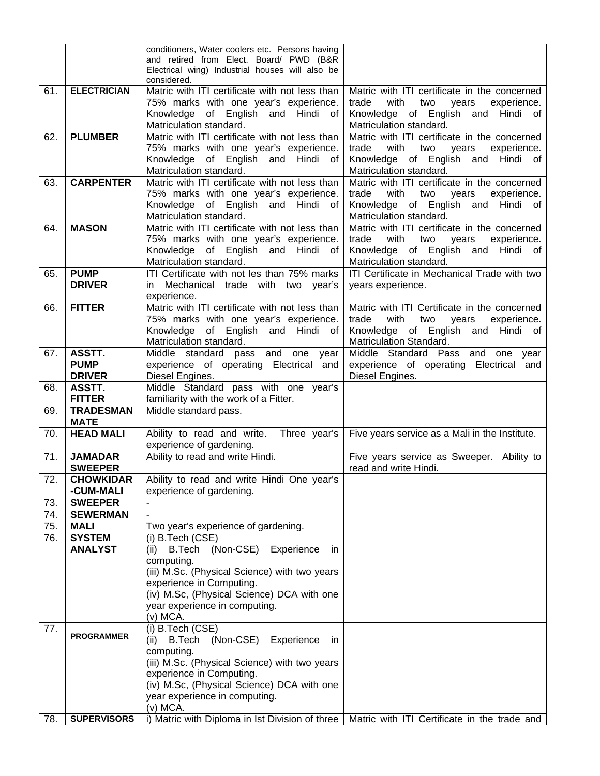|     |                    | conditioners, Water coolers etc. Persons having |                                                                                                |
|-----|--------------------|-------------------------------------------------|------------------------------------------------------------------------------------------------|
|     |                    | and retired from Elect. Board/ PWD (B&R         |                                                                                                |
|     |                    | Electrical wing) Industrial houses will also be |                                                                                                |
|     | <b>ELECTRICIAN</b> | considered.                                     |                                                                                                |
| 61. |                    | Matric with ITI certificate with not less than  | Matric with ITI certificate in the concerned                                                   |
|     |                    | 75% marks with one year's experience.           | trade<br>with<br>two<br>experience.<br>years                                                   |
|     |                    | Knowledge of English and Hindi of               | Knowledge of English and Hindi of                                                              |
|     |                    | Matriculation standard.                         | Matriculation standard.                                                                        |
| 62. | <b>PLUMBER</b>     | Matric with ITI certificate with not less than  | Matric with ITI certificate in the concerned                                                   |
|     |                    | 75% marks with one year's experience.           | trade<br>with<br>two<br>experience.<br>years                                                   |
|     |                    | Knowledge of English and Hindi of               | Knowledge of English and Hindi of                                                              |
|     |                    | Matriculation standard.                         | Matriculation standard.                                                                        |
| 63. | <b>CARPENTER</b>   | Matric with ITI certificate with not less than  | Matric with ITI certificate in the concerned                                                   |
|     |                    | 75% marks with one year's experience.           | trade<br>with<br>two<br>experience.<br>years                                                   |
|     |                    | Knowledge of English and Hindi<br>of            | Knowledge of English and Hindi of                                                              |
|     |                    | Matriculation standard.                         | Matriculation standard.                                                                        |
| 64. | <b>MASON</b>       | Matric with ITI certificate with not less than  | Matric with ITI certificate in the concerned                                                   |
|     |                    | 75% marks with one year's experience.           | trade<br>with<br>two<br>years<br>experience.                                                   |
|     |                    | Knowledge of English and Hindi of               | Knowledge of English and Hindi of                                                              |
|     |                    | Matriculation standard.                         | Matriculation standard.                                                                        |
| 65. | <b>PUMP</b>        | ITI Certificate with not les than 75% marks     | ITI Certificate in Mechanical Trade with two                                                   |
|     | <b>DRIVER</b>      | in Mechanical trade with two year's             | years experience.                                                                              |
|     |                    | experience.                                     |                                                                                                |
| 66. | <b>FITTER</b>      | Matric with ITI certificate with not less than  | Matric with ITI Certificate in the concerned                                                   |
|     |                    | 75% marks with one year's experience.           | trade<br>with<br>two<br>experience.<br>years                                                   |
|     |                    | Knowledge of English and Hindi of               | Knowledge of English and Hindi of                                                              |
|     |                    | Matriculation standard.                         | Matriculation Standard.                                                                        |
| 67. | ASSTT.             | Middle standard pass and one<br>year            | Middle Standard Pass and one year                                                              |
|     | <b>PUMP</b>        | experience of operating Electrical and          | experience of operating Electrical and                                                         |
|     | <b>DRIVER</b>      | Diesel Engines.                                 | Diesel Engines.                                                                                |
| 68. | ASSTT.             | Middle Standard pass with one year's            |                                                                                                |
|     | <b>FITTER</b>      | familiarity with the work of a Fitter.          |                                                                                                |
| 69. | <b>TRADESMAN</b>   | Middle standard pass.                           |                                                                                                |
|     | <b>MATE</b>        |                                                 |                                                                                                |
| 70. | <b>HEAD MALI</b>   | Ability to read and write.<br>Three year's      | Five years service as a Mali in the Institute.                                                 |
|     |                    | experience of gardening.                        |                                                                                                |
| 71. | <b>JAMADAR</b>     | Ability to read and write Hindi.                | Five years service as Sweeper. Ability to                                                      |
|     | <b>SWEEPER</b>     |                                                 | read and write Hindi.                                                                          |
| 72. | <b>CHOWKIDAR</b>   | Ability to read and write Hindi One year's      |                                                                                                |
|     | -CUM-MALI          | experience of gardening.                        |                                                                                                |
| 73. | <b>SWEEPER</b>     |                                                 |                                                                                                |
| 74. | <b>SEWERMAN</b>    | $\sim$                                          |                                                                                                |
| 75. | <b>MALI</b>        | Two year's experience of gardening.             |                                                                                                |
| 76. | <b>SYSTEM</b>      | (i) B.Tech (CSE)                                |                                                                                                |
|     | <b>ANALYST</b>     | B.Tech (Non-CSE) Experience<br>(ii)<br>-in      |                                                                                                |
|     |                    | computing.                                      |                                                                                                |
|     |                    | (iii) M.Sc. (Physical Science) with two years   |                                                                                                |
|     |                    | experience in Computing.                        |                                                                                                |
|     |                    | (iv) M.Sc, (Physical Science) DCA with one      |                                                                                                |
|     |                    | year experience in computing.                   |                                                                                                |
|     |                    | (v) MCA.                                        |                                                                                                |
| 77. |                    | (i) B.Tech (CSE)                                |                                                                                                |
|     | <b>PROGRAMMER</b>  | (ii) B.Tech (Non-CSE)<br>Experience<br>in.      |                                                                                                |
|     |                    | computing.                                      |                                                                                                |
|     |                    | (iii) M.Sc. (Physical Science) with two years   |                                                                                                |
|     |                    | experience in Computing.                        |                                                                                                |
|     |                    | (iv) M.Sc, (Physical Science) DCA with one      |                                                                                                |
|     |                    | year experience in computing.                   |                                                                                                |
|     |                    | $(v)$ MCA.                                      |                                                                                                |
| 78. | <b>SUPERVISORS</b> |                                                 | i) Matric with Diploma in 1st Division of three   Matric with ITI Certificate in the trade and |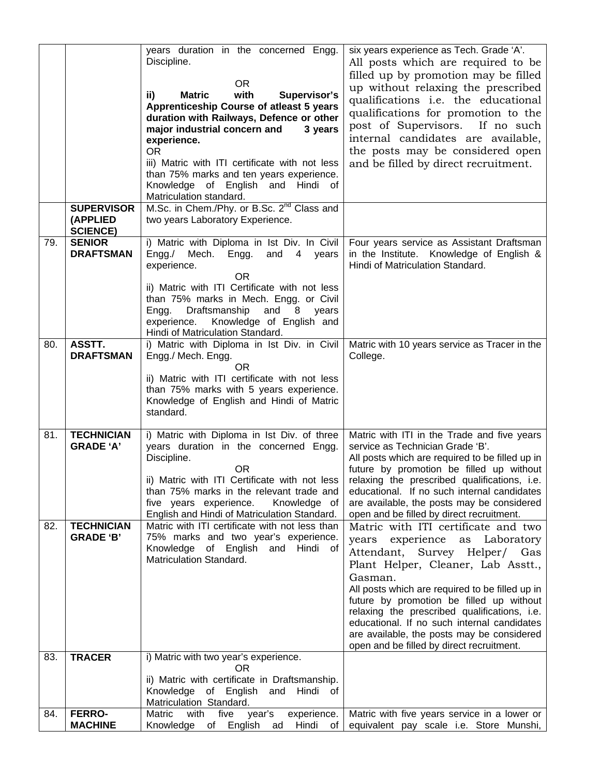|     |                                                  | years duration in the concerned Engg.<br>Discipline.<br>OR.                                                                                                                                                                                                                                                                                                           | six years experience as Tech. Grade 'A'.<br>All posts which are required to be<br>filled up by promotion may be filled                                                                                                                                                                                                                                                                                                                           |
|-----|--------------------------------------------------|-----------------------------------------------------------------------------------------------------------------------------------------------------------------------------------------------------------------------------------------------------------------------------------------------------------------------------------------------------------------------|--------------------------------------------------------------------------------------------------------------------------------------------------------------------------------------------------------------------------------------------------------------------------------------------------------------------------------------------------------------------------------------------------------------------------------------------------|
|     |                                                  | with<br><b>Matric</b><br>Supervisor's<br>ii)<br>Apprenticeship Course of atleast 5 years<br>duration with Railways, Defence or other<br>major industrial concern and<br>3 years<br>experience.<br>OR<br>iii) Matric with ITI certificate with not less<br>than 75% marks and ten years experience.<br>Knowledge of English and<br>Hindi of<br>Matriculation standard. | up without relaxing the prescribed<br>qualifications i.e. the educational<br>qualifications for promotion to the<br>post of Supervisors.<br>If no such<br>internal candidates are available,<br>the posts may be considered open<br>and be filled by direct recruitment.                                                                                                                                                                         |
|     | <b>SUPERVISOR</b><br>(APPLIED<br><b>SCIENCE)</b> | M.Sc. in Chem./Phy. or B.Sc. 2 <sup>nd</sup> Class and<br>two years Laboratory Experience.                                                                                                                                                                                                                                                                            |                                                                                                                                                                                                                                                                                                                                                                                                                                                  |
| 79. | <b>SENIOR</b><br><b>DRAFTSMAN</b>                | i) Matric with Diploma in Ist Div. In Civil<br>Engg. /<br>Mech.<br>Engg.<br>and 4 years<br>experience.<br><b>OR</b><br>ii) Matric with ITI Certificate with not less<br>than 75% marks in Mech. Engg. or Civil<br>Draftsmanship<br>and<br>Engg.<br>8 years<br>experience.<br>Knowledge of English and<br>Hindi of Matriculation Standard.                             | Four years service as Assistant Draftsman<br>in the Institute. Knowledge of English &<br>Hindi of Matriculation Standard.                                                                                                                                                                                                                                                                                                                        |
| 80. | ASSTT.<br><b>DRAFTSMAN</b>                       | i) Matric with Diploma in Ist Div. in Civil<br>Engg./ Mech. Engg.<br>OR.<br>ii) Matric with ITI certificate with not less<br>than 75% marks with 5 years experience.<br>Knowledge of English and Hindi of Matric<br>standard.                                                                                                                                         | Matric with 10 years service as Tracer in the<br>College.                                                                                                                                                                                                                                                                                                                                                                                        |
| 81. | <b>TECHNICIAN</b><br><b>GRADE 'A'</b>            | i) Matric with Diploma in Ist Div. of three<br>years duration in the concerned Engg.<br>Discipline.<br>OR.<br>ii) Matric with ITI Certificate with not less<br>than 75% marks in the relevant trade and<br>five years experience.<br>Knowledge of<br>English and Hindi of Matriculation Standard.                                                                     | Matric with ITI in the Trade and five years<br>service as Technician Grade 'B'.<br>All posts which are required to be filled up in<br>future by promotion be filled up without<br>relaxing the prescribed qualifications, i.e.<br>educational. If no such internal candidates<br>are available, the posts may be considered<br>open and be filled by direct recruitment.                                                                         |
| 82. | <b>TECHNICIAN</b><br><b>GRADE 'B'</b>            | Matric with ITI certificate with not less than<br>75% marks and two year's experience.<br>Knowledge of English<br>and Hindi of<br>Matriculation Standard.                                                                                                                                                                                                             | Matric with ITI certificate and two<br>years experience as Laboratory<br>Attendant, Survey Helper/ Gas<br>Plant Helper, Cleaner, Lab Asstt.,<br>Gasman.<br>All posts which are required to be filled up in<br>future by promotion be filled up without<br>relaxing the prescribed qualifications, i.e.<br>educational. If no such internal candidates<br>are available, the posts may be considered<br>open and be filled by direct recruitment. |
| 83. | <b>TRACER</b>                                    | i) Matric with two year's experience.<br>0R<br>ii) Matric with certificate in Draftsmanship.<br>Knowledge of English and<br>Hindi of<br>Matriculation Standard.                                                                                                                                                                                                       |                                                                                                                                                                                                                                                                                                                                                                                                                                                  |
| 84. | <b>FERRO-</b><br><b>MACHINE</b>                  | five<br>Matric<br>with<br>year's<br>experience.<br>Knowledge of English ad<br>Hindi<br>of                                                                                                                                                                                                                                                                             | Matric with five years service in a lower or<br>equivalent pay scale i.e. Store Munshi,                                                                                                                                                                                                                                                                                                                                                          |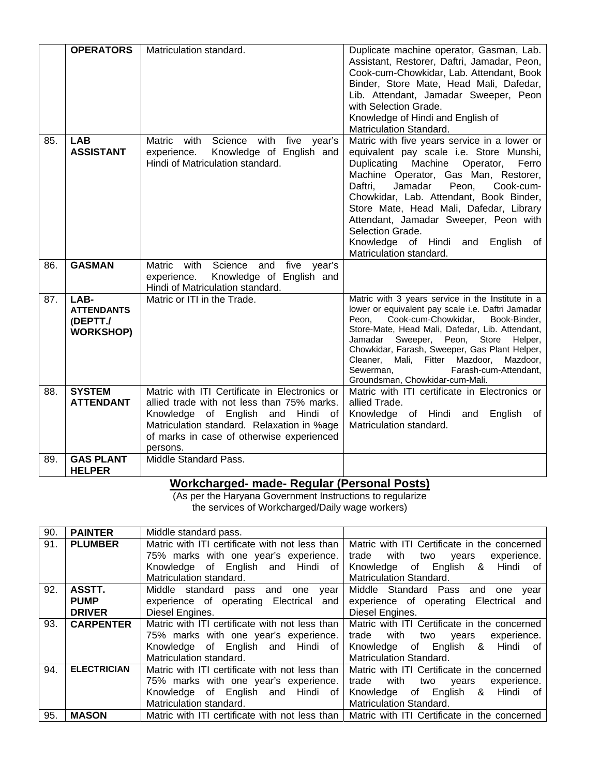|     | <b>OPERATORS</b>                                          | Matriculation standard.                                                                                                                                                                                                                      | Duplicate machine operator, Gasman, Lab.<br>Assistant, Restorer, Daftri, Jamadar, Peon,<br>Cook-cum-Chowkidar, Lab. Attendant, Book<br>Binder, Store Mate, Head Mali, Dafedar,<br>Lib. Attendant, Jamadar Sweeper, Peon<br>with Selection Grade.<br>Knowledge of Hindi and English of<br>Matriculation Standard.                                                                                                                                        |
|-----|-----------------------------------------------------------|----------------------------------------------------------------------------------------------------------------------------------------------------------------------------------------------------------------------------------------------|---------------------------------------------------------------------------------------------------------------------------------------------------------------------------------------------------------------------------------------------------------------------------------------------------------------------------------------------------------------------------------------------------------------------------------------------------------|
| 85. | <b>LAB</b><br><b>ASSISTANT</b>                            | Matric<br>Science with<br>five year's<br>with<br>Knowledge of English and<br>experience.<br>Hindi of Matriculation standard.                                                                                                                 | Matric with five years service in a lower or<br>equivalent pay scale i.e. Store Munshi,<br>Machine<br>Duplicating<br>Operator,<br>Ferro<br>Machine Operator, Gas Man, Restorer,<br>Daftri,<br>Jamadar<br>Peon,<br>Cook-cum-<br>Chowkidar, Lab. Attendant, Book Binder,<br>Store Mate, Head Mali, Dafedar, Library<br>Attendant, Jamadar Sweeper, Peon with<br>Selection Grade.<br>Knowledge of Hindi<br>English<br>and<br>of<br>Matriculation standard. |
| 86. | <b>GASMAN</b>                                             | Matric<br>Science<br>with<br>and<br>five<br>year's<br>Knowledge of English and<br>experience.<br>Hindi of Matriculation standard.                                                                                                            |                                                                                                                                                                                                                                                                                                                                                                                                                                                         |
| 87. | LAB-<br><b>ATTENDANTS</b><br>(DEPTT./<br><b>WORKSHOP)</b> | Matric or ITI in the Trade.                                                                                                                                                                                                                  | Matric with 3 years service in the Institute in a<br>lower or equivalent pay scale i.e. Daftri Jamadar<br>Cook-cum-Chowkidar,<br>Peon.<br>Book-Binder,<br>Store-Mate, Head Mali, Dafedar, Lib. Attendant,<br>Sweeper, Peon,<br>Store<br>Jamadar<br>Helper,<br>Chowkidar, Farash, Sweeper, Gas Plant Helper,<br>Cleaner, Mali, Fitter Mazdoor,<br>Mazdoor,<br>Farash-cum-Attendant.<br>Sewerman.<br>Groundsman, Chowkidar-cum-Mali.                      |
| 88. | <b>SYSTEM</b><br><b>ATTENDANT</b>                         | Matric with ITI Certificate in Electronics or<br>allied trade with not less than 75% marks.<br>Knowledge of English and Hindi<br>of .<br>Matriculation standard. Relaxation in %age<br>of marks in case of otherwise experienced<br>persons. | Matric with ITI certificate in Electronics or<br>allied Trade.<br>Knowledge of Hindi and<br>English<br>ot<br>Matriculation standard.                                                                                                                                                                                                                                                                                                                    |
| 89. | <b>GAS PLANT</b><br><b>HELPER</b>                         | Middle Standard Pass.                                                                                                                                                                                                                        |                                                                                                                                                                                                                                                                                                                                                                                                                                                         |

### **Workcharged- made- Regular (Personal Posts)**

(As per the Haryana Government Instructions to regularize the services of Workcharged/Daily wage workers)

| 90. | <b>PAINTER</b>     | Middle standard pass.                          |                                                                                               |
|-----|--------------------|------------------------------------------------|-----------------------------------------------------------------------------------------------|
| 91. | <b>PLUMBER</b>     | Matric with ITI certificate with not less than | Matric with ITI Certificate in the concerned                                                  |
|     |                    | 75% marks with one year's experience.          | trade with two years<br>experience.                                                           |
|     |                    | Knowledge of English and Hindi of              | Knowledge of English & Hindi of                                                               |
|     |                    | Matriculation standard.                        | <b>Matriculation Standard.</b>                                                                |
| 92. | ASSTT.             | Middle standard pass and one year              | Middle Standard Pass and one<br>vear                                                          |
|     | <b>PUMP</b>        | experience of operating Electrical and         | experience of operating Electrical<br>and                                                     |
|     | <b>DRIVER</b>      | Diesel Engines.                                | Diesel Engines.                                                                               |
| 93. | <b>CARPENTER</b>   | Matric with ITI certificate with not less than | Matric with ITI Certificate in the concerned                                                  |
|     |                    | 75% marks with one year's experience.          | trade with two<br>experience.<br>vears                                                        |
|     |                    | Knowledge of English and Hindi of              | Knowledge of English & Hindi of                                                               |
|     |                    | Matriculation standard.                        | <b>Matriculation Standard.</b>                                                                |
| 94. | <b>ELECTRICIAN</b> | Matric with ITI certificate with not less than | Matric with ITI Certificate in the concerned                                                  |
|     |                    | 75% marks with one year's experience.          | trade with two years<br>experience.                                                           |
|     |                    | Knowledge of English and Hindi of              | Knowledge of English & Hindi of                                                               |
|     |                    | Matriculation standard.                        | <b>Matriculation Standard.</b>                                                                |
| 95. | <b>MASON</b>       |                                                | Matric with ITI certificate with not less than   Matric with ITI Certificate in the concerned |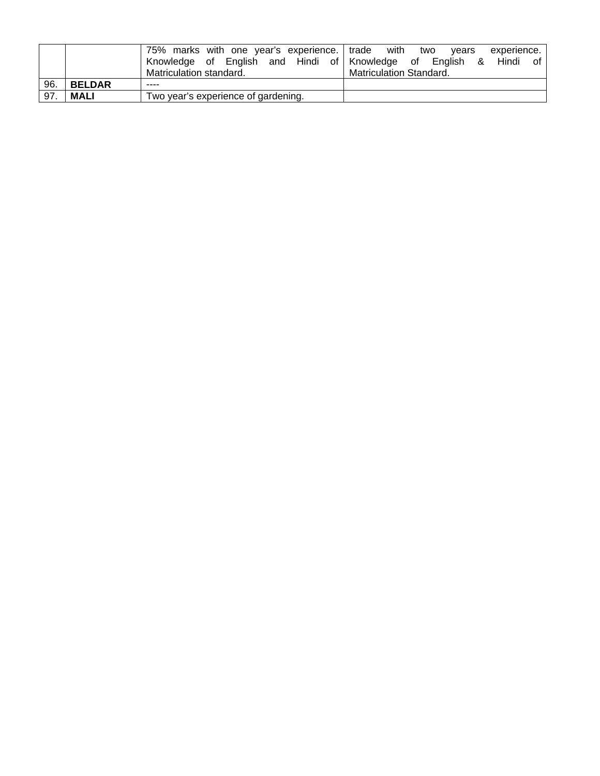|                   |               | 75% marks with one year's experience. trade with two<br>Knowledge of English and Hindi of Knowledge of English<br>Matriculation standard. | vears<br>experience.<br>Hindi<br>of<br>8.<br><b>Matriculation Standard.</b> |
|-------------------|---------------|-------------------------------------------------------------------------------------------------------------------------------------------|-----------------------------------------------------------------------------|
| 96.               | <b>BELDAR</b> | ----                                                                                                                                      |                                                                             |
| $\overline{97}$ . | <b>MALI</b>   | Two year's experience of gardening.                                                                                                       |                                                                             |